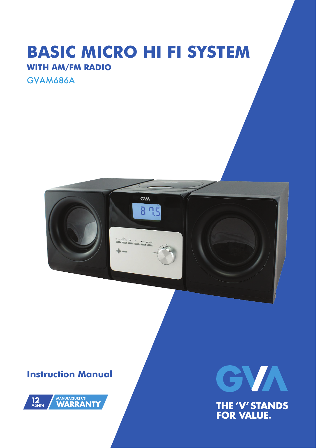## **BASIC MICRO HI FI SYSTEM WITH AM/FM RADIO**

GVAM686A



### **Instruction Manual**





**THE 'V' STANDS<br>FOR VALUE.**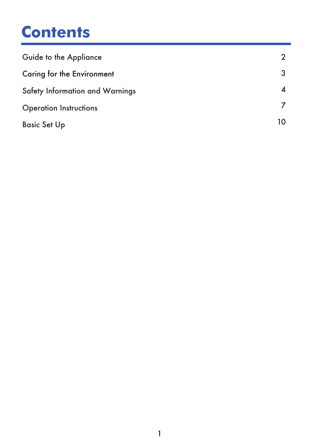## **Contents**

| Guide to the Appliance          |    |
|---------------------------------|----|
| Caring for the Environment      |    |
| Safety Information and Warnings |    |
| <b>Operation Instructions</b>   |    |
| <b>Basic Set Up</b>             | 10 |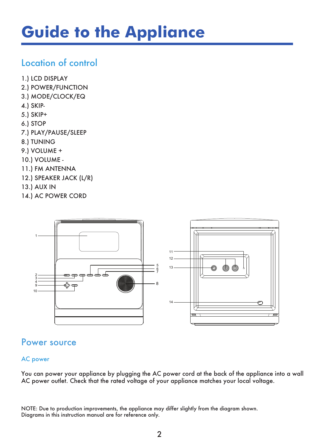# **Guide to the Appliance**

### Location of control

- 1.) LCD DISPLAY
- 2.) POWER/FUNCTION
- 3.) MODE/CLOCK/EQ
- 4.) SKIP-
- 5.) SKIP+
- 6.) STOP
- 7.) PLAY/PAUSE/SLEEP
- 8.) TUNING
- 9.) VOLUME +
- 10.) VOLUME -
- 11.) FM ANTENNA
- 12.) SPEAKER JACK (L/R)
- 13.) AUX IN
- 14.) AC POWER CORD



### Power source

#### AC power

You can power your appliance by plugging the AC power cord at the back of the appliance into a wall AC power outlet. Check that the rated voltage of your appliance matches your local voltage.

NOTE: Due to production improvements, the appliance may differ slightly from the diagram shown. Diagrams in this instruction manual are for reference only.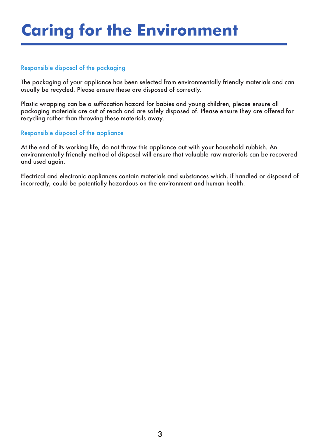# **Caring for the Environment**

#### Responsible disposal of the packaging

The packaging of your appliance has been selected from environmentally friendly materials and can usually be recycled. Please ensure these are disposed of correctly.

Plastic wrapping can be a suffocation hazard for babies and young children, please ensure all packaging materials are out of reach and are safely disposed of. Please ensure they are offered for recycling rather than throwing these materials away.

#### Responsible disposal of the appliance

At the end of its working life, do not throw this appliance out with your household rubbish. An environmentally friendly method of disposal will ensure that valuable raw materials can be recovered and used again.

Electrical and electronic appliances contain materials and substances which, if handled or disposed of incorrectly, could be potentially hazardous on the environment and human health.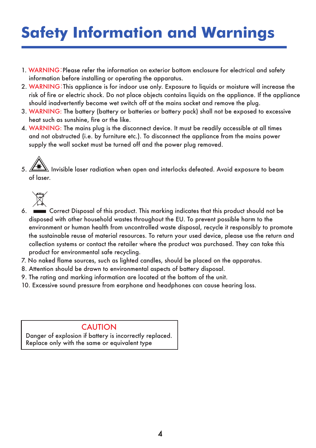# **Safety Information and Warnings**

- 1. WARNING:Please refer the information on exterior bottom enclosure for electrical and safety information before installing or operating the apparatus.
- 2. WARNING:This appliance is for indoor use only. Exposure to liquids or moisture will increase the risk of fire or electric shock. Do not place objects contains liquids on the appliance. If the appliance should inadvertently become wet switch off at the mains socket and remove the plug.
- 3. WARNING: The battery (battery or batteries or battery pack) shall not be exposed to excessive heat such as sunshine, fire or the like.
- 4. WARNING: The mains plug is the disconnect device. It must be readily accessible at all times and not obstructed (i.e. by furniture etc.). To disconnect the appliance from the mains power supply the wall socket must be turned off and the power plug removed.

 $\Delta$  Invisible laser radiation when open and interlocks defeated. Avoid exposure to beam of laser. ì



- 6. Correct Disposal of this product. This marking indicates that this product should not be disposed with other household wastes throughout the EU. To prevent possible harm to the environment or human health from uncontrolled waste disposal, recycle it responsibly to promote the sustainable reuse of material resources. To return your used device, please use the return and collection systems or contact the retailer where the product was purchased. They can take this product for environmental safe recycling.
- 7. No naked flame sources, such as lighted candles, should be placed on the apparatus.
- 8. Attention should be drawn to environmental aspects of battery disposal.
- 9. The rating and marking information are located at the bottom of the unit.
- 10. Excessive sound pressure from earphone and headphones can cause hearing loss.

### **CAUTION**

Danger of explosion if battery is incorrectly replaced. Replace only with the same or equivalent type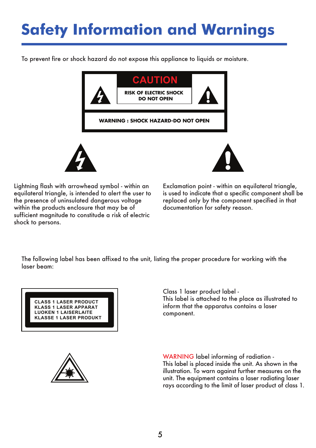# **Safety Information and Warnings**

To prevent fire or shock hazard do not expose this appliance to liquids or moisture.



Lightning flash with arrowhead symbol - within an equilateral triangle, is intended to alert the user to the presence of uninsulated dangerous voltage within the products enclosure that may be of sufficient magnitude to constitude a risk of electric shock to persons.

Exclamation point - within an equilateral triangle, is used to indicate that a specific component shall be replaced only by the component specified in that documentation for safety reason.

The following label has been affixed to the unit, listing the proper procedure for working with the laser beam:

**CLASS 1 LASER PRODUCT KLASS 1 LASER APPARAT LUOKEN 1 LAISERLAITE KLASSE 1 LASER PRODUKT** Class 1 laser product label - This label is attached to the place as illustrated to inform that the apparatus contains a laser component.



WARNING label informing of radiation - This label is placed inside the unit. As shown in the illustration. To warn against further measures on the unit. The equipment contains a laser radiating laser rays according to the limit of laser product of class 1.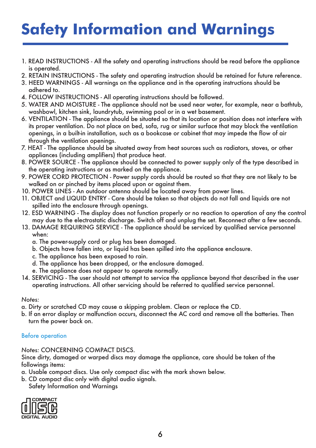# **Safety Information and Warnings**

- 1. READ INSTRUCTIONS All the safety and operating instructions should be read before the appliance is operated.
- 2. RETAIN INSTRUCTIONS The safety and operating instruction should be retained for future reference.
- 3. HEED WARNINGS All warnings on the appliance and in the operating instructions should be adhered to.
- 4. FOLLOW INSTRUCTIONS All operating instructions should be followed.
- 5. WATER AND MOISTURE The appliance should not be used near water, for example, near a bathtub, washbowl, kitchen sink, laundrytub, swimming pool or in a wet basement.
- 6. VENTILATION The appliance should be situated so that its location or position does not interfere with its proper ventilation. Do not place on bed, sofa, rug or similar surface that may block the ventilation openings, in a built-in installation, such as a bookcase or cabinet that may impede the flow of air through the ventilation openings.
- 7. HEAT The appliance should be situated away from heat sources such as radiators, stoves, or other appliances (including amplifiers) that produce heat.
- 8. POWER SOURCE The appliance should be connected to power supply only of the type described in the operating instructions or as marked on the appliance.
- 9. POWER CORD PROTECTION Power supply cords should be routed so that they are not likely to be walked on or pinched by items placed upon or against them.
- 10. POWER LINES An outdoor antenna should be located away from power lines.
- 11. OBJECT and LIQUID ENTRY Care should be taken so that objects do not fall and liquids are not spilled into the enclosure through openings.
- 12. ESD WARNING The display does not function properly or no reaction to operation of any the control may due to the electrostatic discharge. Switch off and unplug the set. Reconnect after a few seconds.
- 13. DAMAGE REQUIRING SERVICE The appliance should be serviced by qualified service personnel when:
	- a. The power-supply cord or plug has been damaged.
	- b. Objects have fallen into, or liquid has been spilled into the appliance enclosure.
	- c. The appliance has been exposed to rain.
	- d. The appliance has been dropped, or the enclosure damaged.
	- e. The appliance does not appear to operate normally.
- 14. SERVICING The user should not attempt to service the appliance beyond that described in the user operating instructions. All other servicing should be referred to qualified service personnel.

#### *Notes:*

- a. Dirty or scratched CD may cause a skipping problem. Clean or replace the CD.
- b. If an error display or malfunction occurs, disconnect the AC cord and remove all the batteries. Then turn the power back on.

#### Before operation

*Notes:* CONCERNING COMPACT DISCS.

Since dirty, damaged or warped discs may damage the appliance, care should be taken of the followings items:

a. Usable compact discs. Use only compact disc with the mark shown below.

b. CD compact disc only with digital audio signals. Safety Information and Warnings

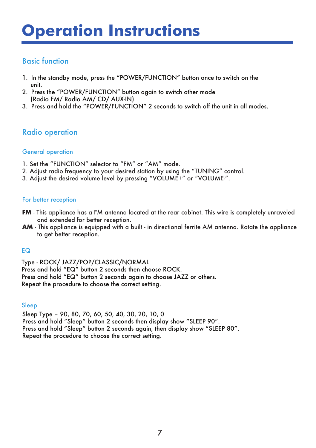# **Operation Instructions**

### Basic function

- 1. In the standby mode, press the "POWER/FUNCTION" button once to switch on the unit.
- 2. Press the "POWER/FUNCTION" button again to switch other mode (Radio FM/ Radio AM/ CD/ AUX-IN).
- 3. Press and hold the "POWER/FUNCTION" 2 seconds to switch off the unit in all modes.

### Radio operation

#### General operation

- 1. Set the "FUNCTION" selector to "FM" or "AM" mode.
- 2. Adjust radio frequency to your desired station by using the "TUNING" control.
- 3. Adjust the desired volume level by pressing "VOLUME+" or "VOLUME-".

#### For better reception

- **FM** This appliance has a FM antenna located at the rear cabinet. This wire is completely unraveled and extended for better reception.
- **AM** This appliance is equipped with a built in directional ferrite AM antenna. Rotate the appliance to get better reception.

#### EQ

Type - ROCK/ JAZZ/POP/CLASSIC/NORMAL Press and hold "EQ" button 2 seconds then choose ROCK. Press and hold "EQ" button 2 seconds again to choose JAZZ or others. Repeat the procedure to choose the correct setting.

#### Sleep

Sleep Type – 90, 80, 70, 60, 50, 40, 30, 20, 10, 0 Press and hold "Sleep" button 2 seconds then display show "SLEEP 90". Press and hold "Sleep" button 2 seconds again, then display show "SLEEP 80". Repeat the procedure to choose the correct setting.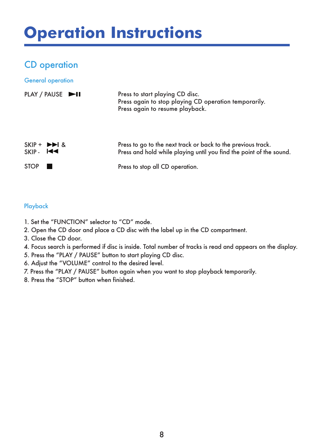# **Operation Instructions**

### CD operation

#### General operation

|                                                       | PLAY / PAUSE | Press to start playing CD disc.<br>Press again to stop playing CD operation temporarily.<br>Press again to resume playback.         |
|-------------------------------------------------------|--------------|-------------------------------------------------------------------------------------------------------------------------------------|
| $SKIP + \rightarrow A$<br>$SKIP$ $\blacktriangleleft$ |              | Press to go to the next track or back to the previous track.<br>Press and hold while playing until you find the point of the sound. |
| <b>STOP</b>                                           |              | Press to stop all CD operation.                                                                                                     |

#### Playback

- 1. Set the "FUNCTION" selector to "CD" mode.
- 2. Open the CD door and place a CD disc with the label up in the CD compartment.
- 3. Close the CD door.
- 4. Focus search is performed if disc is inside. Total number of tracks is read and appears on the display.
- 5. Press the "PLAY / PAUSE" button to start playing CD disc.
- 6. Adjust the "VOLUME" control to the desired level.
- 7. Press the "PLAY / PAUSE" button again when you want to stop playback temporarily.
- 8. Press the "STOP" button when finished.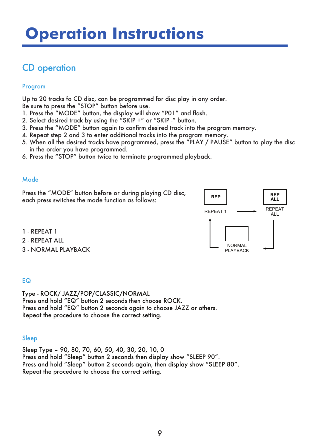### CD operation

#### Program

Up to 20 tracks fo CD disc, can be programmed for disc play in any order.

Be sure to press the "STOP" button before use.

- 1. Press the "MODE" button, the display will show "P01" and flash.
- 2. Select desired track by using the "SKIP +" or "SKIP -" button.
- 3. Press the "MODE" button again to confirm desired track into the program memory.
- 4. Repeat step 2 and 3 to enter additional tracks into the program memory.
- 5. When all the desired tracks have programmed, press the "PLAY / PAUSE" button to play the disc in the order you have programmed.
- 6. Press the "STOP" button twice to terminate programmed playback.

#### Mode

Press the "MODE" button before or during playing CD disc, each press switches the mode function as follows:



- 1 REPEAT 1
- 2 REPEAT ALL
- 3 NORMAL PLAYBACK

#### EQ

Type - ROCK/ JAZZ/POP/CLASSIC/NORMAL Press and hold "EQ" button 2 seconds then choose ROCK. Press and hold "EQ" button 2 seconds again to choose JAZZ or others. Repeat the procedure to choose the correct setting.

#### Sleep

Sleep Type – 90, 80, 70, 60, 50, 40, 30, 20, 10, 0 Press and hold "Sleep" button 2 seconds then display show "SLEEP 90". Press and hold "Sleep" button 2 seconds again, then display show "SLEEP 80". Repeat the procedure to choose the correct setting.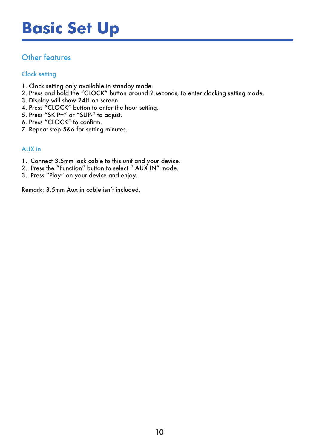## **Basic Set Up**

### Other features

#### Clock setting

- 1. Clock setting only available in standby mode.
- 2. Press and hold the "CLOCK" button around 2 seconds, to enter clocking setting mode.
- 3. Display will show 24H on screen.
- 4. Press "CLOCK" button to enter the hour setting.
- 5. Press "SKIP+" or "SLIP-" to adjust.
- 6. Press "CLOCK" to confirm.
- 7. Repeat step 5&6 for setting minutes.

#### AUX in

- 1. Connect 3.5mm jack cable to this unit and your device.
- 2. Press the "Function" button to select " AUX IN" mode.
- 3. Press "Play" on your device and enjoy.

Remark: 3.5mm Aux in cable isn't included.